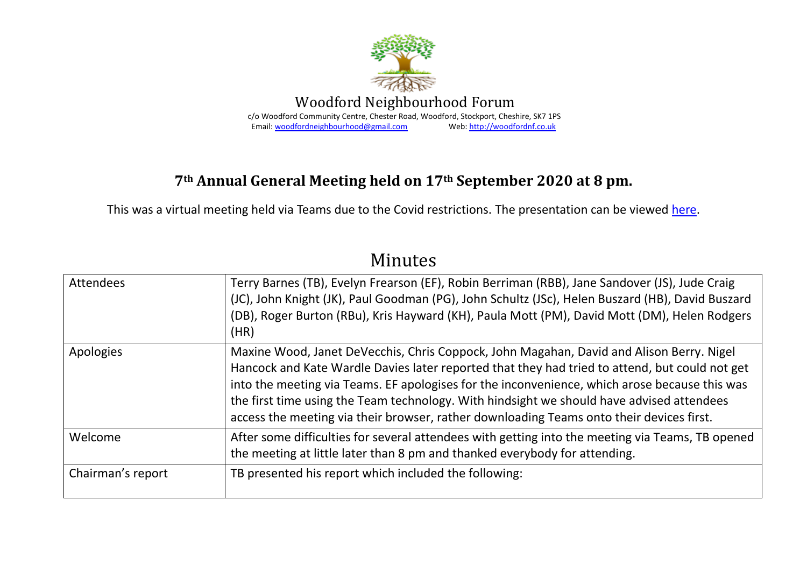

## **7th Annual General Meeting held on 17th September 2020 at 8 pm.**

This was a virtual meeting held via Teams due to the Covid restrictions. The presentation can be viewed [here.](http://woodfordnf.co.uk/wp-content/uploads/2021/10/AGM-2020-presentation-1.pdf)

## Minutes

| <b>Attendees</b>  | Terry Barnes (TB), Evelyn Frearson (EF), Robin Berriman (RBB), Jane Sandover (JS), Jude Craig<br>(JC), John Knight (JK), Paul Goodman (PG), John Schultz (JSc), Helen Buszard (HB), David Buszard<br>(DB), Roger Burton (RBu), Kris Hayward (KH), Paula Mott (PM), David Mott (DM), Helen Rodgers<br>(HR)                                                                                                                                                                            |
|-------------------|--------------------------------------------------------------------------------------------------------------------------------------------------------------------------------------------------------------------------------------------------------------------------------------------------------------------------------------------------------------------------------------------------------------------------------------------------------------------------------------|
| Apologies         | Maxine Wood, Janet DeVecchis, Chris Coppock, John Magahan, David and Alison Berry. Nigel<br>Hancock and Kate Wardle Davies later reported that they had tried to attend, but could not get<br>into the meeting via Teams. EF apologises for the inconvenience, which arose because this was<br>the first time using the Team technology. With hindsight we should have advised attendees<br>access the meeting via their browser, rather downloading Teams onto their devices first. |
| Welcome           | After some difficulties for several attendees with getting into the meeting via Teams, TB opened<br>the meeting at little later than 8 pm and thanked everybody for attending.                                                                                                                                                                                                                                                                                                       |
| Chairman's report | TB presented his report which included the following:                                                                                                                                                                                                                                                                                                                                                                                                                                |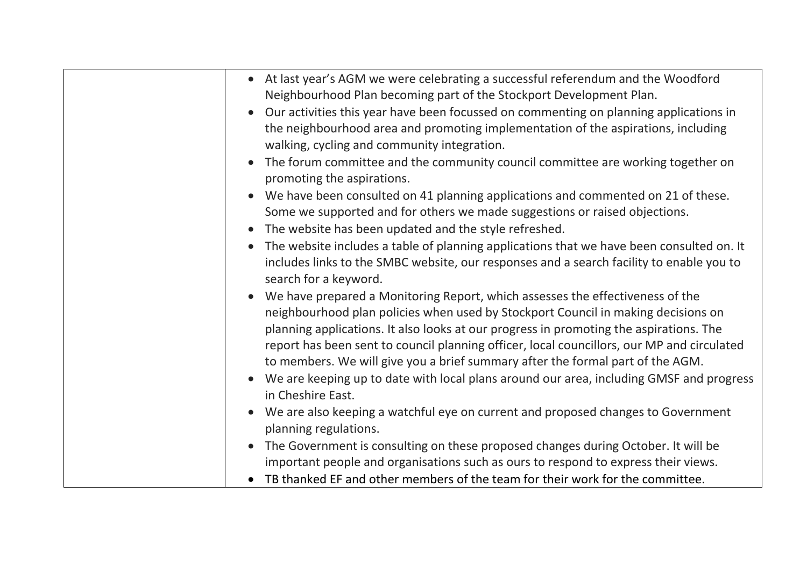| • At last year's AGM we were celebrating a successful referendum and the Woodford<br>Neighbourhood Plan becoming part of the Stockport Development Plan.<br>Our activities this year have been focussed on commenting on planning applications in<br>the neighbourhood area and promoting implementation of the aspirations, including<br>walking, cycling and community integration.                                                                                                                                                   |
|-----------------------------------------------------------------------------------------------------------------------------------------------------------------------------------------------------------------------------------------------------------------------------------------------------------------------------------------------------------------------------------------------------------------------------------------------------------------------------------------------------------------------------------------|
| The forum committee and the community council committee are working together on<br>promoting the aspirations.                                                                                                                                                                                                                                                                                                                                                                                                                           |
| We have been consulted on 41 planning applications and commented on 21 of these.<br>Some we supported and for others we made suggestions or raised objections.<br>The website has been updated and the style refreshed.                                                                                                                                                                                                                                                                                                                 |
| The website includes a table of planning applications that we have been consulted on. It<br>includes links to the SMBC website, our responses and a search facility to enable you to<br>search for a keyword.                                                                                                                                                                                                                                                                                                                           |
| We have prepared a Monitoring Report, which assesses the effectiveness of the<br>neighbourhood plan policies when used by Stockport Council in making decisions on<br>planning applications. It also looks at our progress in promoting the aspirations. The<br>report has been sent to council planning officer, local councillors, our MP and circulated<br>to members. We will give you a brief summary after the formal part of the AGM.<br>We are keeping up to date with local plans around our area, including GMSF and progress |
| in Cheshire East.                                                                                                                                                                                                                                                                                                                                                                                                                                                                                                                       |
| We are also keeping a watchful eye on current and proposed changes to Government<br>planning regulations.                                                                                                                                                                                                                                                                                                                                                                                                                               |
| The Government is consulting on these proposed changes during October. It will be<br>important people and organisations such as ours to respond to express their views.                                                                                                                                                                                                                                                                                                                                                                 |
| TB thanked EF and other members of the team for their work for the committee.                                                                                                                                                                                                                                                                                                                                                                                                                                                           |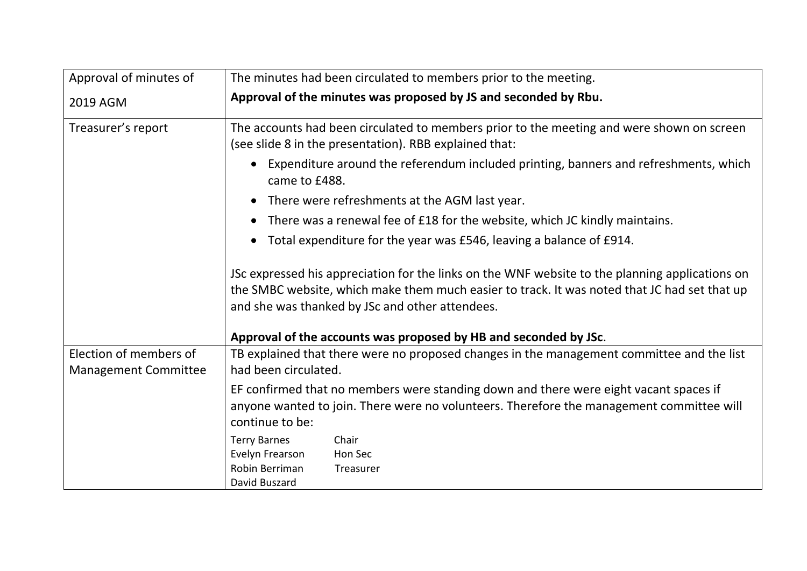| Approval of minutes of                                | The minutes had been circulated to members prior to the meeting.                                                                                                                                                                                   |
|-------------------------------------------------------|----------------------------------------------------------------------------------------------------------------------------------------------------------------------------------------------------------------------------------------------------|
| 2019 AGM                                              | Approval of the minutes was proposed by JS and seconded by Rbu.                                                                                                                                                                                    |
| Treasurer's report                                    | The accounts had been circulated to members prior to the meeting and were shown on screen<br>(see slide 8 in the presentation). RBB explained that:                                                                                                |
|                                                       | Expenditure around the referendum included printing, banners and refreshments, which<br>came to £488.                                                                                                                                              |
|                                                       | There were refreshments at the AGM last year.                                                                                                                                                                                                      |
|                                                       | There was a renewal fee of £18 for the website, which JC kindly maintains.                                                                                                                                                                         |
|                                                       | Total expenditure for the year was £546, leaving a balance of £914.<br>$\bullet$                                                                                                                                                                   |
|                                                       | JSc expressed his appreciation for the links on the WNF website to the planning applications on<br>the SMBC website, which make them much easier to track. It was noted that JC had set that up<br>and she was thanked by JSc and other attendees. |
|                                                       | Approval of the accounts was proposed by HB and seconded by JSc.                                                                                                                                                                                   |
| Election of members of<br><b>Management Committee</b> | TB explained that there were no proposed changes in the management committee and the list<br>had been circulated.                                                                                                                                  |
|                                                       | EF confirmed that no members were standing down and there were eight vacant spaces if<br>anyone wanted to join. There were no volunteers. Therefore the management committee will<br>continue to be:                                               |
|                                                       | <b>Terry Barnes</b><br>Chair<br>Evelyn Frearson<br>Hon Sec<br>Robin Berriman<br>Treasurer<br>David Buszard                                                                                                                                         |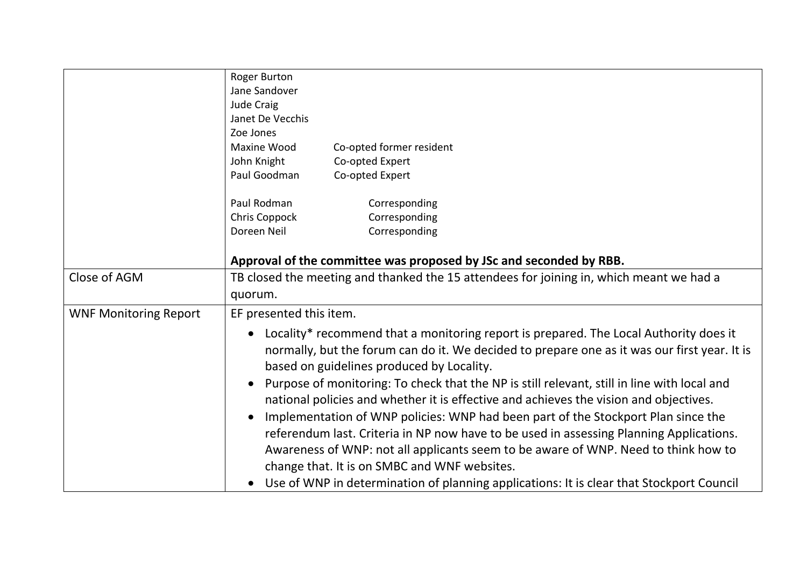|                              | Roger Burton                                                                                                                                                                                                                       |
|------------------------------|------------------------------------------------------------------------------------------------------------------------------------------------------------------------------------------------------------------------------------|
|                              | Jane Sandover                                                                                                                                                                                                                      |
|                              | Jude Craig                                                                                                                                                                                                                         |
|                              | Janet De Vecchis                                                                                                                                                                                                                   |
|                              | Zoe Jones                                                                                                                                                                                                                          |
|                              | Maxine Wood<br>Co-opted former resident                                                                                                                                                                                            |
|                              | John Knight<br>Co-opted Expert                                                                                                                                                                                                     |
|                              | Paul Goodman<br>Co-opted Expert                                                                                                                                                                                                    |
|                              | Paul Rodman<br>Corresponding                                                                                                                                                                                                       |
|                              | Chris Coppock<br>Corresponding                                                                                                                                                                                                     |
|                              | Corresponding<br>Doreen Neil                                                                                                                                                                                                       |
|                              | Approval of the committee was proposed by JSc and seconded by RBB.                                                                                                                                                                 |
| Close of AGM                 | TB closed the meeting and thanked the 15 attendees for joining in, which meant we had a                                                                                                                                            |
|                              |                                                                                                                                                                                                                                    |
|                              | quorum.                                                                                                                                                                                                                            |
| <b>WNF Monitoring Report</b> | EF presented this item.                                                                                                                                                                                                            |
|                              | Locality* recommend that a monitoring report is prepared. The Local Authority does it<br>normally, but the forum can do it. We decided to prepare one as it was our first year. It is<br>based on guidelines produced by Locality. |
|                              | Purpose of monitoring: To check that the NP is still relevant, still in line with local and<br>national policies and whether it is effective and achieves the vision and objectives.                                               |
|                              | Implementation of WNP policies: WNP had been part of the Stockport Plan since the                                                                                                                                                  |
|                              | referendum last. Criteria in NP now have to be used in assessing Planning Applications.                                                                                                                                            |
|                              | Awareness of WNP: not all applicants seem to be aware of WNP. Need to think how to                                                                                                                                                 |
|                              | change that. It is on SMBC and WNF websites.                                                                                                                                                                                       |
|                              | Use of WNP in determination of planning applications: It is clear that Stockport Council                                                                                                                                           |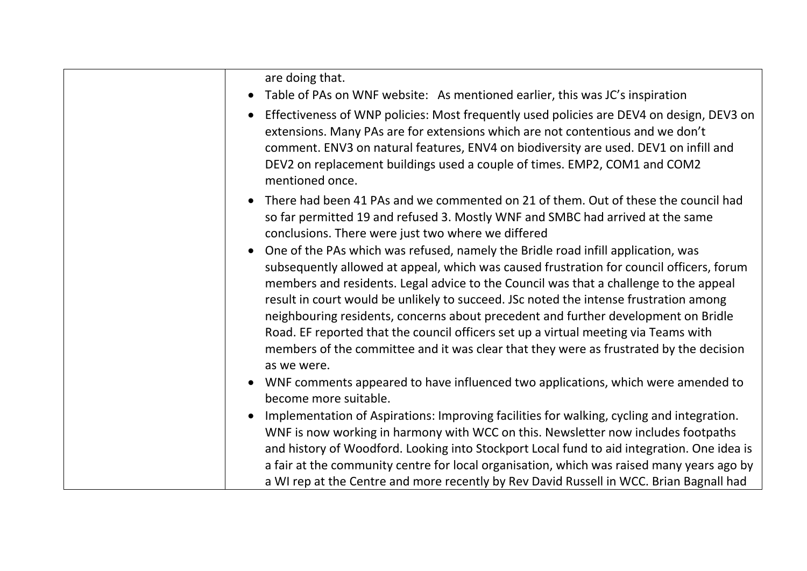| are doing that.                                                                                                                                                                                                                                                                                                                                                                                                                                                                                                                                                                                                                                      |
|------------------------------------------------------------------------------------------------------------------------------------------------------------------------------------------------------------------------------------------------------------------------------------------------------------------------------------------------------------------------------------------------------------------------------------------------------------------------------------------------------------------------------------------------------------------------------------------------------------------------------------------------------|
| Table of PAs on WNF website: As mentioned earlier, this was JC's inspiration                                                                                                                                                                                                                                                                                                                                                                                                                                                                                                                                                                         |
| Effectiveness of WNP policies: Most frequently used policies are DEV4 on design, DEV3 on<br>extensions. Many PAs are for extensions which are not contentious and we don't<br>comment. ENV3 on natural features, ENV4 on biodiversity are used. DEV1 on infill and<br>DEV2 on replacement buildings used a couple of times. EMP2, COM1 and COM2<br>mentioned once.                                                                                                                                                                                                                                                                                   |
| There had been 41 PAs and we commented on 21 of them. Out of these the council had<br>so far permitted 19 and refused 3. Mostly WNF and SMBC had arrived at the same<br>conclusions. There were just two where we differed                                                                                                                                                                                                                                                                                                                                                                                                                           |
| One of the PAs which was refused, namely the Bridle road infill application, was<br>subsequently allowed at appeal, which was caused frustration for council officers, forum<br>members and residents. Legal advice to the Council was that a challenge to the appeal<br>result in court would be unlikely to succeed. JSc noted the intense frustration among<br>neighbouring residents, concerns about precedent and further development on Bridle<br>Road. EF reported that the council officers set up a virtual meeting via Teams with<br>members of the committee and it was clear that they were as frustrated by the decision<br>as we were. |
| WNF comments appeared to have influenced two applications, which were amended to<br>become more suitable.                                                                                                                                                                                                                                                                                                                                                                                                                                                                                                                                            |
| Implementation of Aspirations: Improving facilities for walking, cycling and integration.<br>WNF is now working in harmony with WCC on this. Newsletter now includes footpaths<br>and history of Woodford. Looking into Stockport Local fund to aid integration. One idea is<br>a fair at the community centre for local organisation, which was raised many years ago by<br>a WI rep at the Centre and more recently by Rev David Russell in WCC. Brian Bagnall had                                                                                                                                                                                 |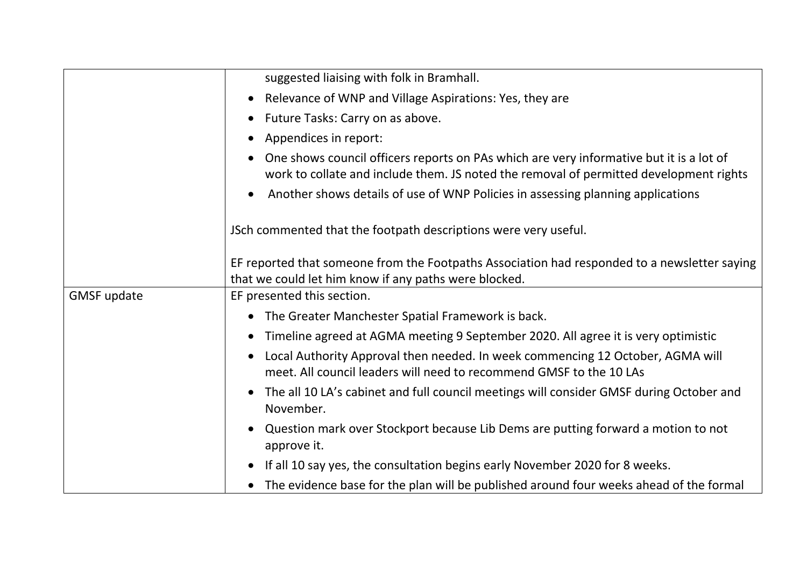|                    | suggested liaising with folk in Bramhall.                                                                                                                                         |
|--------------------|-----------------------------------------------------------------------------------------------------------------------------------------------------------------------------------|
|                    | Relevance of WNP and Village Aspirations: Yes, they are                                                                                                                           |
|                    | Future Tasks: Carry on as above.                                                                                                                                                  |
|                    | Appendices in report:                                                                                                                                                             |
|                    | One shows council officers reports on PAs which are very informative but it is a lot of<br>work to collate and include them. JS noted the removal of permitted development rights |
|                    | Another shows details of use of WNP Policies in assessing planning applications                                                                                                   |
|                    | JSch commented that the footpath descriptions were very useful.                                                                                                                   |
|                    | EF reported that someone from the Footpaths Association had responded to a newsletter saying<br>that we could let him know if any paths were blocked.                             |
| <b>GMSF update</b> | EF presented this section.                                                                                                                                                        |
|                    | The Greater Manchester Spatial Framework is back.<br>$\bullet$                                                                                                                    |
|                    | Timeline agreed at AGMA meeting 9 September 2020. All agree it is very optimistic                                                                                                 |
|                    | Local Authority Approval then needed. In week commencing 12 October, AGMA will<br>meet. All council leaders will need to recommend GMSF to the 10 LAs                             |
|                    | The all 10 LA's cabinet and full council meetings will consider GMSF during October and<br>November.                                                                              |
|                    | Question mark over Stockport because Lib Dems are putting forward a motion to not<br>approve it.                                                                                  |
|                    | If all 10 say yes, the consultation begins early November 2020 for 8 weeks.                                                                                                       |
|                    | The evidence base for the plan will be published around four weeks ahead of the formal                                                                                            |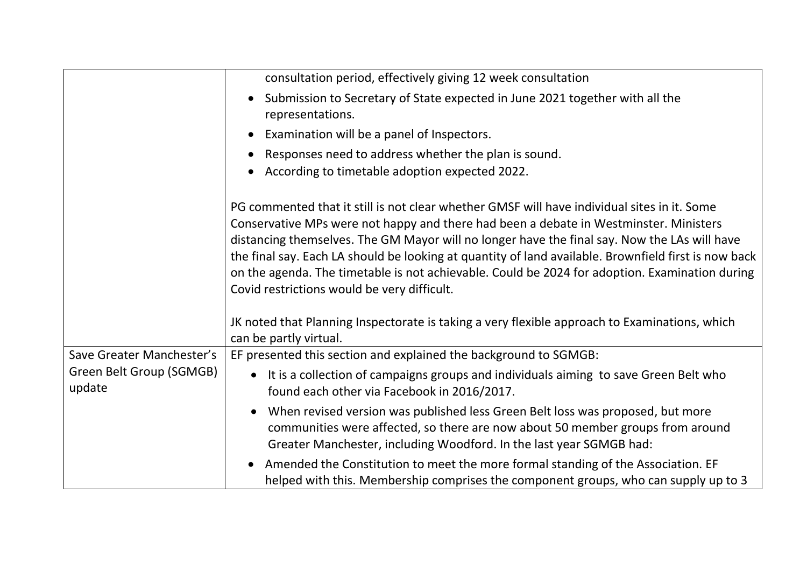|                                    | consultation period, effectively giving 12 week consultation                                                                                                                                                                                                                                                                                                                                                                                                                                                                                  |
|------------------------------------|-----------------------------------------------------------------------------------------------------------------------------------------------------------------------------------------------------------------------------------------------------------------------------------------------------------------------------------------------------------------------------------------------------------------------------------------------------------------------------------------------------------------------------------------------|
|                                    | Submission to Secretary of State expected in June 2021 together with all the<br>representations.                                                                                                                                                                                                                                                                                                                                                                                                                                              |
|                                    | Examination will be a panel of Inspectors.                                                                                                                                                                                                                                                                                                                                                                                                                                                                                                    |
|                                    | Responses need to address whether the plan is sound.                                                                                                                                                                                                                                                                                                                                                                                                                                                                                          |
|                                    | According to timetable adoption expected 2022.                                                                                                                                                                                                                                                                                                                                                                                                                                                                                                |
|                                    | PG commented that it still is not clear whether GMSF will have individual sites in it. Some<br>Conservative MPs were not happy and there had been a debate in Westminster. Ministers<br>distancing themselves. The GM Mayor will no longer have the final say. Now the LAs will have<br>the final say. Each LA should be looking at quantity of land available. Brownfield first is now back<br>on the agenda. The timetable is not achievable. Could be 2024 for adoption. Examination during<br>Covid restrictions would be very difficult. |
|                                    | JK noted that Planning Inspectorate is taking a very flexible approach to Examinations, which<br>can be partly virtual.                                                                                                                                                                                                                                                                                                                                                                                                                       |
| Save Greater Manchester's          | EF presented this section and explained the background to SGMGB:                                                                                                                                                                                                                                                                                                                                                                                                                                                                              |
| Green Belt Group (SGMGB)<br>update | It is a collection of campaigns groups and individuals aiming to save Green Belt who<br>$\bullet$<br>found each other via Facebook in 2016/2017.                                                                                                                                                                                                                                                                                                                                                                                              |
|                                    | When revised version was published less Green Belt loss was proposed, but more<br>communities were affected, so there are now about 50 member groups from around<br>Greater Manchester, including Woodford. In the last year SGMGB had:                                                                                                                                                                                                                                                                                                       |
|                                    | Amended the Constitution to meet the more formal standing of the Association. EF<br>helped with this. Membership comprises the component groups, who can supply up to 3                                                                                                                                                                                                                                                                                                                                                                       |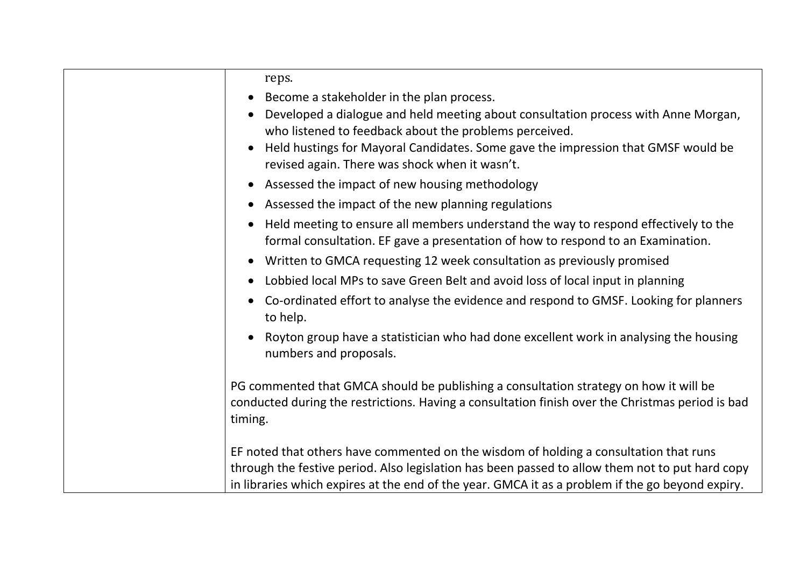| reps.                                                                                                                                                                                                |
|------------------------------------------------------------------------------------------------------------------------------------------------------------------------------------------------------|
| Become a stakeholder in the plan process.                                                                                                                                                            |
| Developed a dialogue and held meeting about consultation process with Anne Morgan,                                                                                                                   |
| who listened to feedback about the problems perceived.                                                                                                                                               |
| Held hustings for Mayoral Candidates. Some gave the impression that GMSF would be<br>revised again. There was shock when it wasn't.                                                                  |
| Assessed the impact of new housing methodology                                                                                                                                                       |
| Assessed the impact of the new planning regulations                                                                                                                                                  |
| Held meeting to ensure all members understand the way to respond effectively to the<br>formal consultation. EF gave a presentation of how to respond to an Examination.                              |
| Written to GMCA requesting 12 week consultation as previously promised                                                                                                                               |
| Lobbied local MPs to save Green Belt and avoid loss of local input in planning                                                                                                                       |
| Co-ordinated effort to analyse the evidence and respond to GMSF. Looking for planners<br>to help.                                                                                                    |
| Royton group have a statistician who had done excellent work in analysing the housing<br>numbers and proposals.                                                                                      |
| PG commented that GMCA should be publishing a consultation strategy on how it will be<br>conducted during the restrictions. Having a consultation finish over the Christmas period is bad<br>timing. |
| EF noted that others have commented on the wisdom of holding a consultation that runs                                                                                                                |
| through the festive period. Also legislation has been passed to allow them not to put hard copy                                                                                                      |
| in libraries which expires at the end of the year. GMCA it as a problem if the go beyond expiry.                                                                                                     |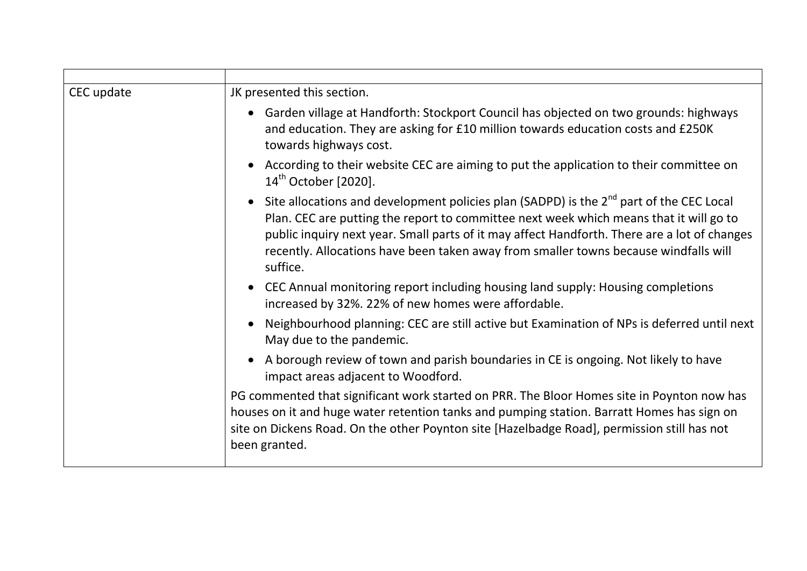| CEC update | JK presented this section.                                                                                                                                                                                                                                                                                                                                                                        |
|------------|---------------------------------------------------------------------------------------------------------------------------------------------------------------------------------------------------------------------------------------------------------------------------------------------------------------------------------------------------------------------------------------------------|
|            | Garden village at Handforth: Stockport Council has objected on two grounds: highways<br>and education. They are asking for £10 million towards education costs and £250K<br>towards highways cost.                                                                                                                                                                                                |
|            | According to their website CEC are aiming to put the application to their committee on<br>14 <sup>th</sup> October [2020].                                                                                                                                                                                                                                                                        |
|            | Site allocations and development policies plan (SADPD) is the 2 <sup>nd</sup> part of the CEC Local<br>Plan. CEC are putting the report to committee next week which means that it will go to<br>public inquiry next year. Small parts of it may affect Handforth. There are a lot of changes<br>recently. Allocations have been taken away from smaller towns because windfalls will<br>suffice. |
|            | CEC Annual monitoring report including housing land supply: Housing completions<br>increased by 32%. 22% of new homes were affordable.                                                                                                                                                                                                                                                            |
|            | Neighbourhood planning: CEC are still active but Examination of NPs is deferred until next<br>May due to the pandemic.                                                                                                                                                                                                                                                                            |
|            | A borough review of town and parish boundaries in CE is ongoing. Not likely to have<br>impact areas adjacent to Woodford.                                                                                                                                                                                                                                                                         |
|            | PG commented that significant work started on PRR. The Bloor Homes site in Poynton now has<br>houses on it and huge water retention tanks and pumping station. Barratt Homes has sign on<br>site on Dickens Road. On the other Poynton site [Hazelbadge Road], permission still has not<br>been granted.                                                                                          |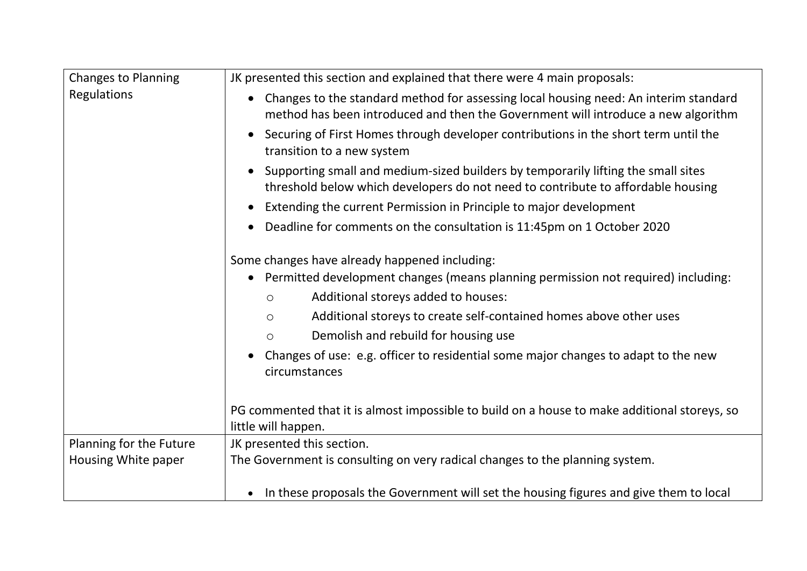| <b>Changes to Planning</b> | JK presented this section and explained that there were 4 main proposals:                                                                                                 |
|----------------------------|---------------------------------------------------------------------------------------------------------------------------------------------------------------------------|
| Regulations                | Changes to the standard method for assessing local housing need: An interim standard<br>method has been introduced and then the Government will introduce a new algorithm |
|                            | Securing of First Homes through developer contributions in the short term until the<br>transition to a new system                                                         |
|                            | Supporting small and medium-sized builders by temporarily lifting the small sites<br>threshold below which developers do not need to contribute to affordable housing     |
|                            | Extending the current Permission in Principle to major development                                                                                                        |
|                            | Deadline for comments on the consultation is 11:45pm on 1 October 2020                                                                                                    |
|                            | Some changes have already happened including:                                                                                                                             |
|                            | Permitted development changes (means planning permission not required) including:                                                                                         |
|                            | Additional storeys added to houses:<br>$\circ$                                                                                                                            |
|                            | Additional storeys to create self-contained homes above other uses<br>$\circ$                                                                                             |
|                            | Demolish and rebuild for housing use<br>$\circ$                                                                                                                           |
|                            | Changes of use: e.g. officer to residential some major changes to adapt to the new<br>circumstances                                                                       |
|                            | PG commented that it is almost impossible to build on a house to make additional storeys, so<br>little will happen.                                                       |
| Planning for the Future    | JK presented this section.                                                                                                                                                |
| Housing White paper        | The Government is consulting on very radical changes to the planning system.                                                                                              |
|                            | In these proposals the Government will set the housing figures and give them to local                                                                                     |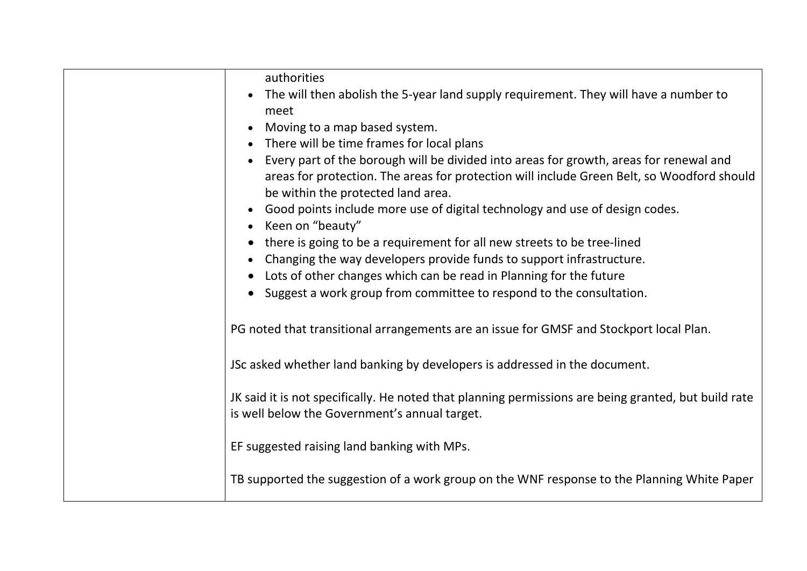| authorities                                                                                                                                           |
|-------------------------------------------------------------------------------------------------------------------------------------------------------|
| The will then abolish the 5-year land supply requirement. They will have a number to<br>meet                                                          |
| Moving to a map based system.                                                                                                                         |
| There will be time frames for local plans                                                                                                             |
| Every part of the borough will be divided into areas for growth, areas for renewal and                                                                |
| areas for protection. The areas for protection will include Green Belt, so Woodford should<br>be within the protected land area.                      |
| Good points include more use of digital technology and use of design codes.<br>Keen on "beauty"                                                       |
| there is going to be a requirement for all new streets to be tree-lined                                                                               |
| Changing the way developers provide funds to support infrastructure.                                                                                  |
| Lots of other changes which can be read in Planning for the future                                                                                    |
| Suggest a work group from committee to respond to the consultation.                                                                                   |
| PG noted that transitional arrangements are an issue for GMSF and Stockport local Plan.                                                               |
| JSc asked whether land banking by developers is addressed in the document.                                                                            |
| JK said it is not specifically. He noted that planning permissions are being granted, but build rate<br>is well below the Government's annual target. |
| EF suggested raising land banking with MPs.                                                                                                           |
| TB supported the suggestion of a work group on the WNF response to the Planning White Paper                                                           |